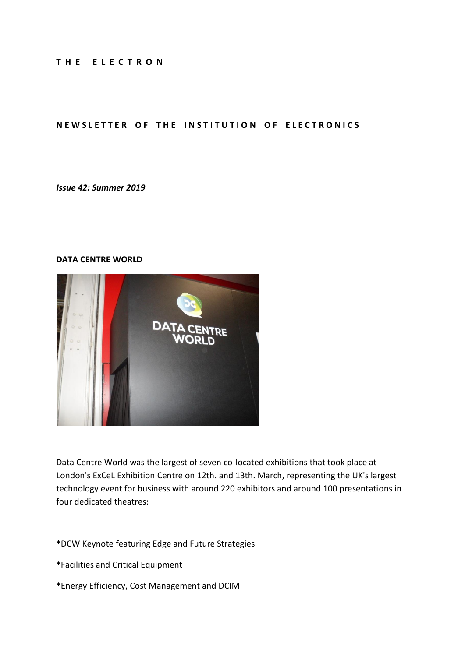#### **T H E E L E C T R O N**

#### **NEWSLETTER OF THE INSTITUTION OF ELECTRONICS**

#### *Issue 42: Summer 2019*

#### **DATA CENTRE WORLD**



Data Centre World was the largest of seven co-located exhibitions that took place at London's ExCeL Exhibition Centre on 12th. and 13th. March, representing the UK's largest technology event for business with around 220 exhibitors and around 100 presentations in four dedicated theatres:

\*DCW Keynote featuring Edge and Future Strategies

- \*Facilities and Critical Equipment
- \*Energy Efficiency, Cost Management and DCIM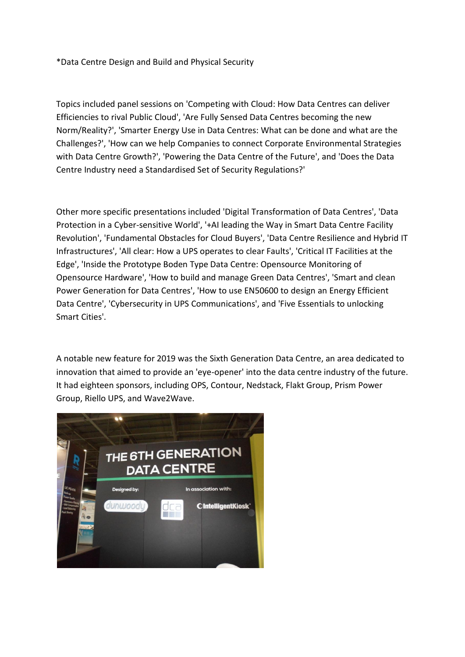\*Data Centre Design and Build and Physical Security

Topics included panel sessions on 'Competing with Cloud: How Data Centres can deliver Efficiencies to rival Public Cloud', 'Are Fully Sensed Data Centres becoming the new Norm/Reality?', 'Smarter Energy Use in Data Centres: What can be done and what are the Challenges?', 'How can we help Companies to connect Corporate Environmental Strategies with Data Centre Growth?', 'Powering the Data Centre of the Future', and 'Does the Data Centre Industry need a Standardised Set of Security Regulations?'

Other more specific presentations included 'Digital Transformation of Data Centres', 'Data Protection in a Cyber-sensitive World', '+AI leading the Way in Smart Data Centre Facility Revolution', 'Fundamental Obstacles for Cloud Buyers', 'Data Centre Resilience and Hybrid IT Infrastructures', 'All clear: How a UPS operates to clear Faults', 'Critical IT Facilities at the Edge', 'Inside the Prototype Boden Type Data Centre: Opensource Monitoring of Opensource Hardware', 'How to build and manage Green Data Centres', 'Smart and clean Power Generation for Data Centres', 'How to use EN50600 to design an Energy Efficient Data Centre', 'Cybersecurity in UPS Communications', and 'Five Essentials to unlocking Smart Cities'.

A notable new feature for 2019 was the Sixth Generation Data Centre, an area dedicated to innovation that aimed to provide an 'eye-opener' into the data centre industry of the future. It had eighteen sponsors, including OPS, Contour, Nedstack, Flakt Group, Prism Power Group, Riello UPS, and Wave2Wave.

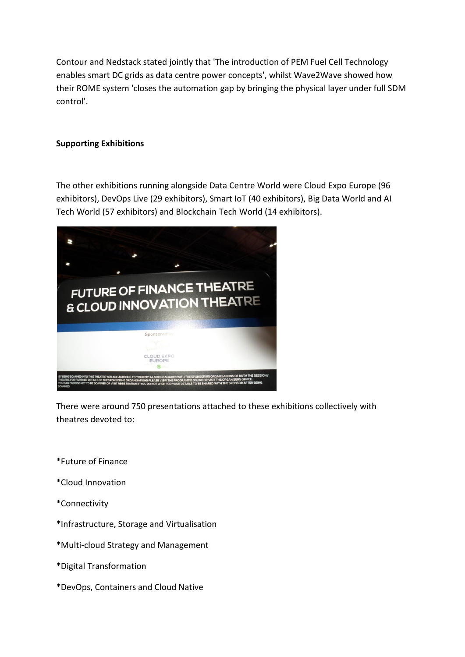Contour and Nedstack stated jointly that 'The introduction of PEM Fuel Cell Technology enables smart DC grids as data centre power concepts', whilst Wave2Wave showed how their ROME system 'closes the automation gap by bringing the physical layer under full SDM control'.

## **Supporting Exhibitions**

The other exhibitions running alongside Data Centre World were Cloud Expo Europe (96 exhibitors), DevOps Live (29 exhibitors), Smart IoT (40 exhibitors), Big Data World and AI Tech World (57 exhibitors) and Blockchain Tech World (14 exhibitors).



There were around 750 presentations attached to these exhibitions collectively with theatres devoted to:

- \*Future of Finance
- \*Cloud Innovation
- \*Connectivity
- \*Infrastructure, Storage and Virtualisation
- \*Multi-cloud Strategy and Management
- \*Digital Transformation
- \*DevOps, Containers and Cloud Native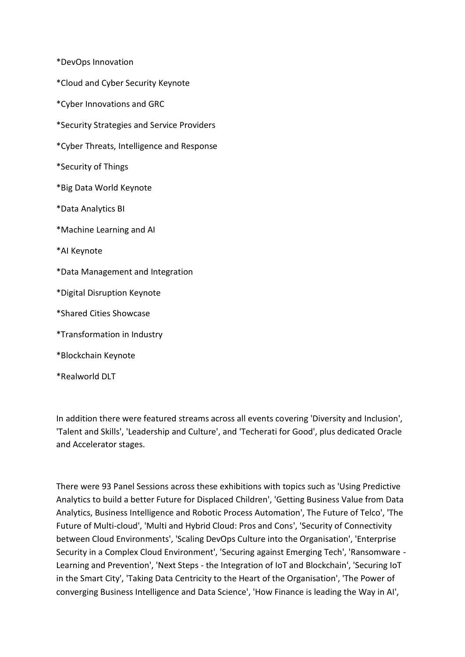\*DevOps Innovation

- \*Cloud and Cyber Security Keynote
- \*Cyber Innovations and GRC
- \*Security Strategies and Service Providers
- \*Cyber Threats, Intelligence and Response
- \*Security of Things
- \*Big Data World Keynote
- \*Data Analytics BI
- \*Machine Learning and AI
- \*AI Keynote
- \*Data Management and Integration
- \*Digital Disruption Keynote
- \*Shared Cities Showcase
- \*Transformation in Industry
- \*Blockchain Keynote
- \*Realworld DLT

In addition there were featured streams across all events covering 'Diversity and Inclusion', 'Talent and Skills', 'Leadership and Culture', and 'Techerati for Good', plus dedicated Oracle and Accelerator stages.

There were 93 Panel Sessions across these exhibitions with topics such as 'Using Predictive Analytics to build a better Future for Displaced Children', 'Getting Business Value from Data Analytics, Business Intelligence and Robotic Process Automation', The Future of Telco', 'The Future of Multi-cloud', 'Multi and Hybrid Cloud: Pros and Cons', 'Security of Connectivity between Cloud Environments', 'Scaling DevOps Culture into the Organisation', 'Enterprise Security in a Complex Cloud Environment', 'Securing against Emerging Tech', 'Ransomware - Learning and Prevention', 'Next Steps - the Integration of IoT and Blockchain', 'Securing IoT in the Smart City', 'Taking Data Centricity to the Heart of the Organisation', 'The Power of converging Business Intelligence and Data Science', 'How Finance is leading the Way in AI',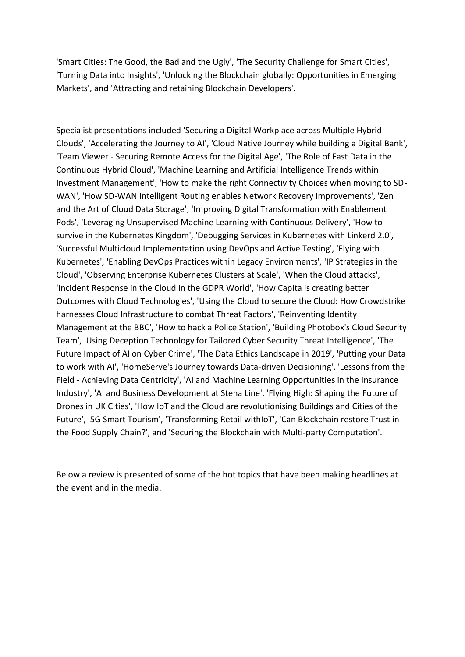'Smart Cities: The Good, the Bad and the Ugly', 'The Security Challenge for Smart Cities', 'Turning Data into Insights', 'Unlocking the Blockchain globally: Opportunities in Emerging Markets', and 'Attracting and retaining Blockchain Developers'.

Specialist presentations included 'Securing a Digital Workplace across Multiple Hybrid Clouds', 'Accelerating the Journey to AI', 'Cloud Native Journey while building a Digital Bank', 'Team Viewer - Securing Remote Access for the Digital Age', 'The Role of Fast Data in the Continuous Hybrid Cloud', 'Machine Learning and Artificial Intelligence Trends within Investment Management', 'How to make the right Connectivity Choices when moving to SD-WAN', 'How SD-WAN Intelligent Routing enables Network Recovery Improvements', 'Zen and the Art of Cloud Data Storage', 'Improving Digital Transformation with Enablement Pods', 'Leveraging Unsupervised Machine Learning with Continuous Delivery', 'How to survive in the Kubernetes Kingdom', 'Debugging Services in Kubernetes with Linkerd 2.0', 'Successful Multicloud Implementation using DevOps and Active Testing', 'Flying with Kubernetes', 'Enabling DevOps Practices within Legacy Environments', 'IP Strategies in the Cloud', 'Observing Enterprise Kubernetes Clusters at Scale', 'When the Cloud attacks', 'Incident Response in the Cloud in the GDPR World', 'How Capita is creating better Outcomes with Cloud Technologies', 'Using the Cloud to secure the Cloud: How Crowdstrike harnesses Cloud Infrastructure to combat Threat Factors', 'Reinventing Identity Management at the BBC', 'How to hack a Police Station', 'Building Photobox's Cloud Security Team', 'Using Deception Technology for Tailored Cyber Security Threat Intelligence', 'The Future Impact of AI on Cyber Crime', 'The Data Ethics Landscape in 2019', 'Putting your Data to work with AI', 'HomeServe's Journey towards Data-driven Decisioning', 'Lessons from the Field - Achieving Data Centricity', 'AI and Machine Learning Opportunities in the Insurance Industry', 'AI and Business Development at Stena Line', 'Flying High: Shaping the Future of Drones in UK Cities', 'How IoT and the Cloud are revolutionising Buildings and Cities of the Future', '5G Smart Tourism', 'Transforming Retail withIoT', 'Can Blockchain restore Trust in the Food Supply Chain?', and 'Securing the Blockchain with Multi-party Computation'.

Below a review is presented of some of the hot topics that have been making headlines at the event and in the media.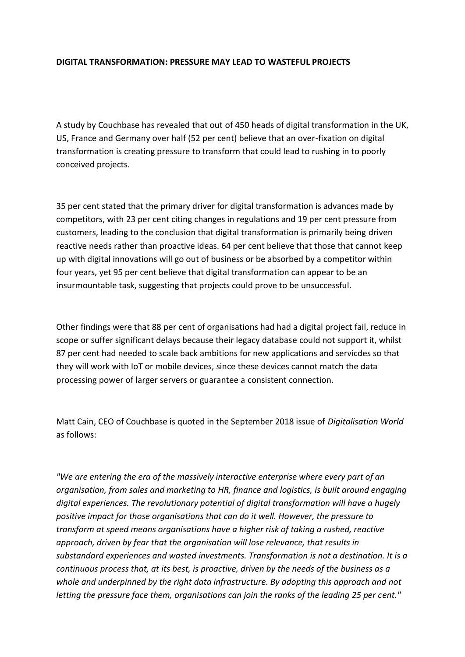#### **DIGITAL TRANSFORMATION: PRESSURE MAY LEAD TO WASTEFUL PROJECTS**

A study by Couchbase has revealed that out of 450 heads of digital transformation in the UK, US, France and Germany over half (52 per cent) believe that an over-fixation on digital transformation is creating pressure to transform that could lead to rushing in to poorly conceived projects.

35 per cent stated that the primary driver for digital transformation is advances made by competitors, with 23 per cent citing changes in regulations and 19 per cent pressure from customers, leading to the conclusion that digital transformation is primarily being driven reactive needs rather than proactive ideas. 64 per cent believe that those that cannot keep up with digital innovations will go out of business or be absorbed by a competitor within four years, yet 95 per cent believe that digital transformation can appear to be an insurmountable task, suggesting that projects could prove to be unsuccessful.

Other findings were that 88 per cent of organisations had had a digital project fail, reduce in scope or suffer significant delays because their legacy database could not support it, whilst 87 per cent had needed to scale back ambitions for new applications and servicdes so that they will work with IoT or mobile devices, since these devices cannot match the data processing power of larger servers or guarantee a consistent connection.

Matt Cain, CEO of Couchbase is quoted in the September 2018 issue of *Digitalisation World* as follows:

*"We are entering the era of the massively interactive enterprise where every part of an organisation, from sales and marketing to HR, finance and logistics, is built around engaging digital experiences. The revolutionary potential of digital transformation will have a hugely positive impact for those organisations that can do it well. However, the pressure to transform at speed means organisations have a higher risk of taking a rushed, reactive approach, driven by fear that the organisation will lose relevance, that results in substandard experiences and wasted investments. Transformation is not a destination. It is a continuous process that, at its best, is proactive, driven by the needs of the business as a whole and underpinned by the right data infrastructure. By adopting this approach and not letting the pressure face them, organisations can join the ranks of the leading 25 per cent."*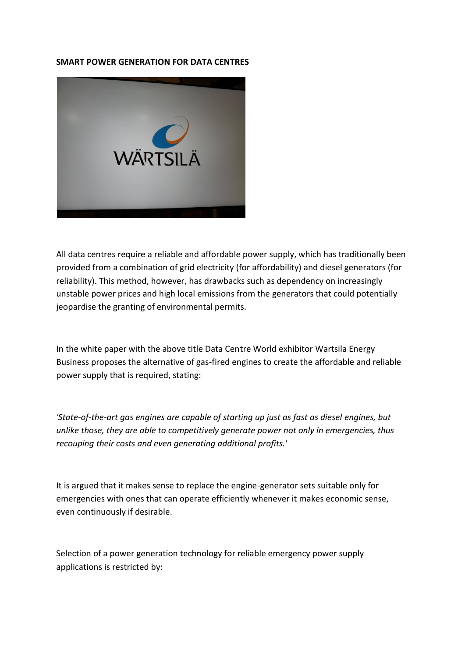#### **SMART POWER GENERATION FOR DATA CENTRES**



All data centres require a reliable and affordable power supply, which has traditionally been provided from a combination of grid electricity (for affordability) and diesel generators (for reliability). This method, however, has drawbacks such as dependency on increasingly unstable power prices and high local emissions from the generators that could potentially jeopardise the granting of environmental permits.

In the white paper with the above title Data Centre World exhibitor Wartsila Energy Business proposes the alternative of gas-fired engines to create the affordable and reliable power supply that is required, stating:

*'State-of-the-art gas engines are capable of starting up just as fast as diesel engines, but unlike those, they are able to competitively generate power not only in emergencies, thus recouping their costs and even generating additional profits.'*

It is argued that it makes sense to replace the engine-generator sets suitable only for emergencies with ones that can operate efficiently whenever it makes economic sense, even continuously if desirable.

Selection of a power generation technology for reliable emergency power supply applications is restricted by: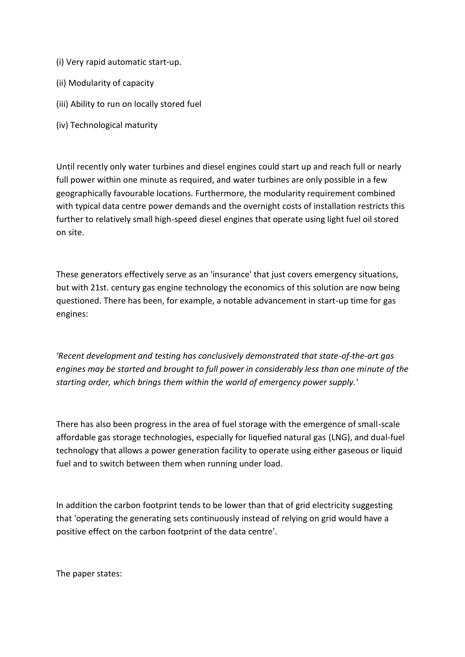- (i) Very rapid automatic start-up.
- (ii) Modularity of capacity
- (iii) Ability to run on locally stored fuel
- (iv) Technological maturity

Until recently only water turbines and diesel engines could start up and reach full or nearly full power within one minute as required, and water turbines are only possible in a few geographically favourable locations. Furthermore, the modularity requirement combined with typical data centre power demands and the overnight costs of installation restricts this further to relatively small high-speed diesel engines that operate using light fuel oil stored on site.

These generators effectively serve as an 'insurance' that just covers emergency situations, but with 21st. century gas engine technology the economics of this solution are now being questioned. There has been, for example, a notable advancement in start-up time for gas engines:

*'Recent development and testing has conclusively demonstrated that state-of-the-art gas engines may be started and brought to full power in considerably less than one minute of the starting order, which brings them within the world of emergency power supply.'*

There has also been progress in the area of fuel storage with the emergence of small-scale affordable gas storage technologies, especially for liquefied natural gas (LNG), and dual-fuel technology that allows a power generation facility to operate using either gaseous or liquid fuel and to switch between them when running under load.

In addition the carbon footprint tends to be lower than that of grid electricity suggesting that 'operating the generating sets continuously instead of relying on grid would have a positive effect on the carbon footprint of the data centre'.

The paper states: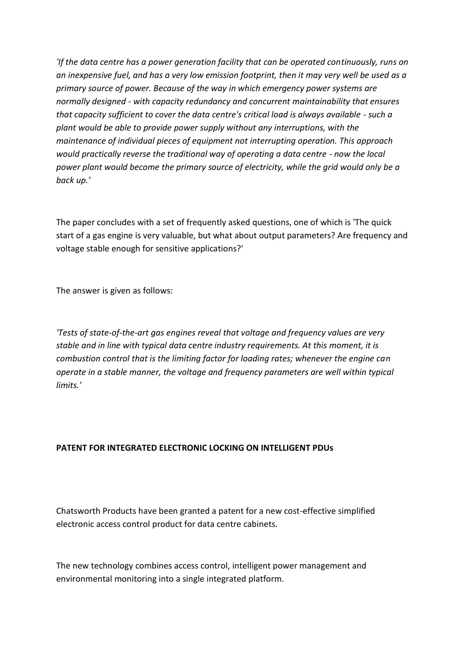*'If the data centre has a power generation facility that can be operated continuously, runs on an inexpensive fuel, and has a very low emission footprint, then it may very well be used as a primary source of power. Because of the way in which emergency power systems are normally designed - with capacity redundancy and concurrent maintainability that ensures that capacity sufficient to cover the data centre's critical load is always available - such a plant would be able to provide power supply without any interruptions, with the maintenance of individual pieces of equipment not interrupting operation. This approach would practically reverse the traditional way of operating a data centre - now the local power plant would become the primary source of electricity, while the grid would only be a back up.'*

The paper concludes with a set of frequently asked questions, one of which is 'The quick start of a gas engine is very valuable, but what about output parameters? Are frequency and voltage stable enough for sensitive applications?'

The answer is given as follows:

*'Tests of state-of-the-art gas engines reveal that voltage and frequency values are very stable and in line with typical data centre industry requirements. At this moment, it is combustion control that is the limiting factor for loading rates; whenever the engine can operate in a stable manner, the voltage and frequency parameters are well within typical limits.'*

## **PATENT FOR INTEGRATED ELECTRONIC LOCKING ON INTELLIGENT PDUs**

Chatsworth Products have been granted a patent for a new cost-effective simplified electronic access control product for data centre cabinets.

The new technology combines access control, intelligent power management and environmental monitoring into a single integrated platform.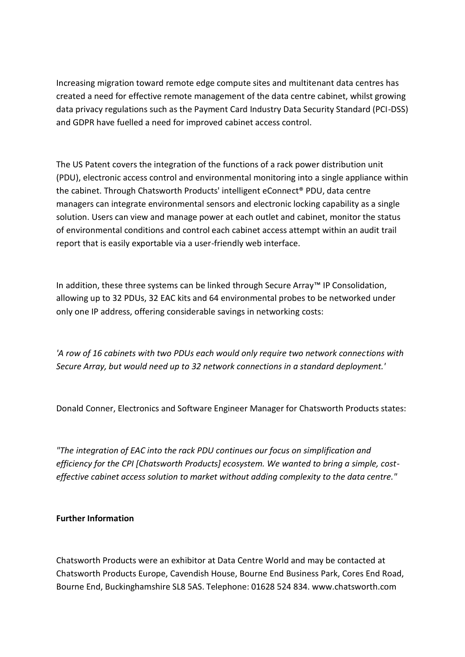Increasing migration toward remote edge compute sites and multitenant data centres has created a need for effective remote management of the data centre cabinet, whilst growing data privacy regulations such as the Payment Card Industry Data Security Standard (PCI-DSS) and GDPR have fuelled a need for improved cabinet access control.

The US Patent covers the integration of the functions of a rack power distribution unit (PDU), electronic access control and environmental monitoring into a single appliance within the cabinet. Through Chatsworth Products' intelligent eConnect® PDU, data centre managers can integrate environmental sensors and electronic locking capability as a single solution. Users can view and manage power at each outlet and cabinet, monitor the status of environmental conditions and control each cabinet access attempt within an audit trail report that is easily exportable via a user-friendly web interface.

In addition, these three systems can be linked through Secure Array™ IP Consolidation, allowing up to 32 PDUs, 32 EAC kits and 64 environmental probes to be networked under only one IP address, offering considerable savings in networking costs:

*'A row of 16 cabinets with two PDUs each would only require two network connections with Secure Array, but would need up to 32 network connections in a standard deployment.'*

Donald Conner, Electronics and Software Engineer Manager for Chatsworth Products states:

*"The integration of EAC into the rack PDU continues our focus on simplification and efficiency for the CPI [Chatsworth Products] ecosystem. We wanted to bring a simple, costeffective cabinet access solution to market without adding complexity to the data centre."*

## **Further Information**

Chatsworth Products were an exhibitor at Data Centre World and may be contacted at Chatsworth Products Europe, Cavendish House, Bourne End Business Park, Cores End Road, Bourne End, Buckinghamshire SL8 5AS. Telephone: 01628 524 834. www.chatsworth.com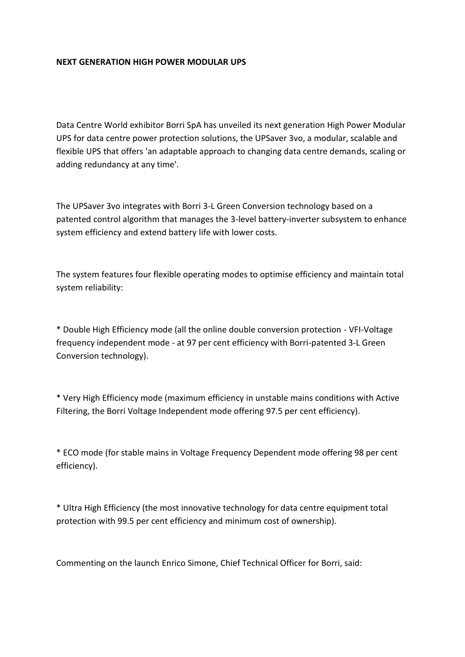### **NEXT GENERATION HIGH POWER MODULAR UPS**

Data Centre World exhibitor Borri SpA has unveiled its next generation High Power Modular UPS for data centre power protection solutions, the UPSaver 3vo, a modular, scalable and flexible UPS that offers 'an adaptable approach to changing data centre demands, scaling or adding redundancy at any time'.

The UPSaver 3vo integrates with Borri 3-L Green Conversion technology based on a patented control algorithm that manages the 3-level battery-inverter subsystem to enhance system efficiency and extend battery life with lower costs.

The system features four flexible operating modes to optimise efficiency and maintain total system reliability:

\* Double High Efficiency mode (all the online double conversion protection - VFI-Voltage frequency independent mode - at 97 per cent efficiency with Borri-patented 3-L Green Conversion technology).

\* Very High Efficiency mode (maximum efficiency in unstable mains conditions with Active Filtering, the Borri Voltage Independent mode offering 97.5 per cent efficiency).

\* ECO mode (for stable mains in Voltage Frequency Dependent mode offering 98 per cent efficiency).

\* Ultra High Efficiency (the most innovative technology for data centre equipment total protection with 99.5 per cent efficiency and minimum cost of ownership).

Commenting on the launch Enrico Simone, Chief Technical Officer for Borri, said: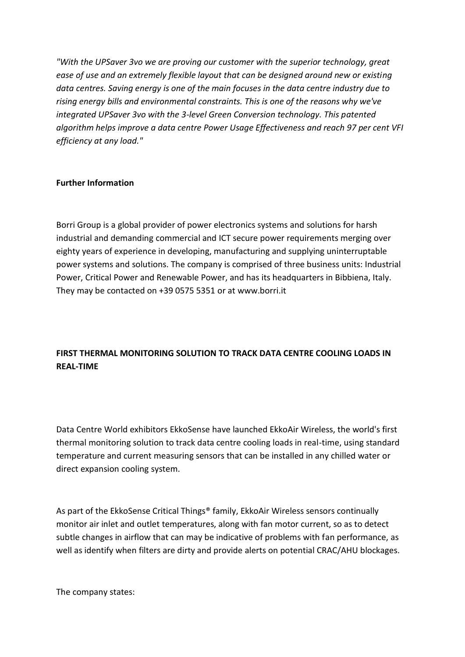*"With the UPSaver 3vo we are proving our customer with the superior technology, great ease of use and an extremely flexible layout that can be designed around new or existing data centres. Saving energy is one of the main focuses in the data centre industry due to rising energy bills and environmental constraints. This is one of the reasons why we've integrated UPSaver 3vo with the 3-level Green Conversion technology. This patented algorithm helps improve a data centre Power Usage Effectiveness and reach 97 per cent VFI efficiency at any load."*

## **Further Information**

Borri Group is a global provider of power electronics systems and solutions for harsh industrial and demanding commercial and ICT secure power requirements merging over eighty years of experience in developing, manufacturing and supplying uninterruptable power systems and solutions. The company is comprised of three business units: Industrial Power, Critical Power and Renewable Power, and has its headquarters in Bibbiena, Italy. They may be contacted on +39 0575 5351 or at www.borri.it

# **FIRST THERMAL MONITORING SOLUTION TO TRACK DATA CENTRE COOLING LOADS IN REAL-TIME**

Data Centre World exhibitors EkkoSense have launched EkkoAir Wireless, the world's first thermal monitoring solution to track data centre cooling loads in real-time, using standard temperature and current measuring sensors that can be installed in any chilled water or direct expansion cooling system.

As part of the EkkoSense Critical Things® family, EkkoAir Wireless sensors continually monitor air inlet and outlet temperatures, along with fan motor current, so as to detect subtle changes in airflow that can may be indicative of problems with fan performance, as well as identify when filters are dirty and provide alerts on potential CRAC/AHU blockages.

The company states: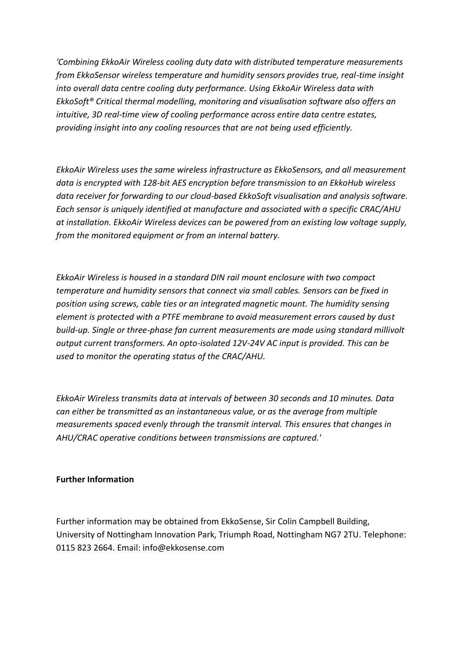*'Combining EkkoAir Wireless cooling duty data with distributed temperature measurements from EkkoSensor wireless temperature and humidity sensors provides true, real-time insight into overall data centre cooling duty performance. Using EkkoAir Wireless data with EkkoSoft® Critical thermal modelling, monitoring and visualisation software also offers an intuitive, 3D real-time view of cooling performance across entire data centre estates, providing insight into any cooling resources that are not being used efficiently.*

*EkkoAir Wireless uses the same wireless infrastructure as EkkoSensors, and all measurement data is encrypted with 128-bit AES encryption before transmission to an EkkoHub wireless data receiver for forwarding to our cloud-based EkkoSoft visualisation and analysis software. Each sensor is uniquely identified at manufacture and associated with a specific CRAC/AHU at installation. EkkoAir Wireless devices can be powered from an existing low voltage supply, from the monitored equipment or from an internal battery.*

*EkkoAir Wireless is housed in a standard DIN rail mount enclosure with two compact temperature and humidity sensors that connect via small cables. Sensors can be fixed in position using screws, cable ties or an integrated magnetic mount. The humidity sensing element is protected with a PTFE membrane to avoid measurement errors caused by dust build-up. Single or three-phase fan current measurements are made using standard millivolt output current transformers. An opto-isolated 12V-24V AC input is provided. This can be used to monitor the operating status of the CRAC/AHU.*

*EkkoAir Wireless transmits data at intervals of between 30 seconds and 10 minutes. Data can either be transmitted as an instantaneous value, or as the average from multiple measurements spaced evenly through the transmit interval. This ensures that changes in AHU/CRAC operative conditions between transmissions are captured.'*

#### **Further Information**

Further information may be obtained from EkkoSense, Sir Colin Campbell Building, University of Nottingham Innovation Park, Triumph Road, Nottingham NG7 2TU. Telephone: 0115 823 2664. Email: info@ekkosense.com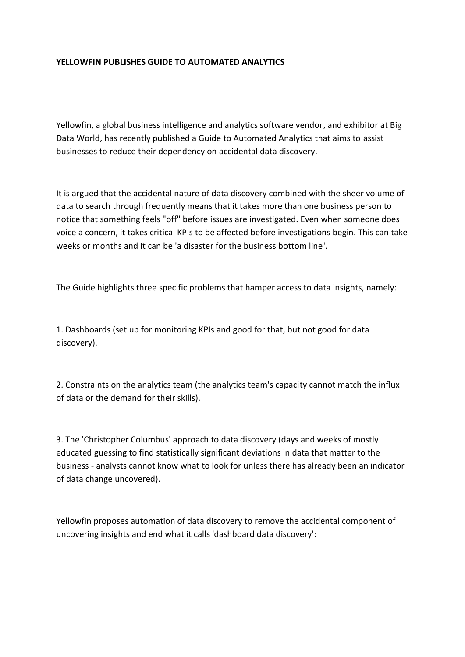## **YELLOWFIN PUBLISHES GUIDE TO AUTOMATED ANALYTICS**

Yellowfin, a global business intelligence and analytics software vendor, and exhibitor at Big Data World, has recently published a Guide to Automated Analytics that aims to assist businesses to reduce their dependency on accidental data discovery.

It is argued that the accidental nature of data discovery combined with the sheer volume of data to search through frequently means that it takes more than one business person to notice that something feels "off" before issues are investigated. Even when someone does voice a concern, it takes critical KPIs to be affected before investigations begin. This can take weeks or months and it can be 'a disaster for the business bottom line'.

The Guide highlights three specific problems that hamper access to data insights, namely:

1. Dashboards (set up for monitoring KPIs and good for that, but not good for data discovery).

2. Constraints on the analytics team (the analytics team's capacity cannot match the influx of data or the demand for their skills).

3. The 'Christopher Columbus' approach to data discovery (days and weeks of mostly educated guessing to find statistically significant deviations in data that matter to the business - analysts cannot know what to look for unless there has already been an indicator of data change uncovered).

Yellowfin proposes automation of data discovery to remove the accidental component of uncovering insights and end what it calls 'dashboard data discovery':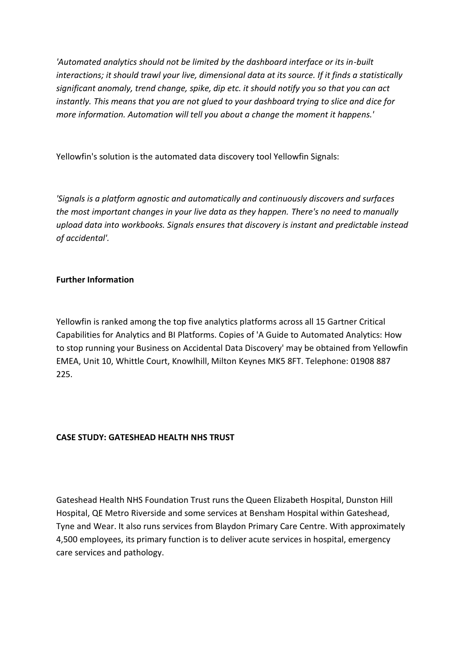*'Automated analytics should not be limited by the dashboard interface or its in-built interactions; it should trawl your live, dimensional data at its source. If it finds a statistically significant anomaly, trend change, spike, dip etc. it should notify you so that you can act instantly. This means that you are not glued to your dashboard trying to slice and dice for more information. Automation will tell you about a change the moment it happens.'*

Yellowfin's solution is the automated data discovery tool Yellowfin Signals:

*'Signals is a platform agnostic and automatically and continuously discovers and surfaces the most important changes in your live data as they happen. There's no need to manually upload data into workbooks. Signals ensures that discovery is instant and predictable instead of accidental'.*

## **Further Information**

Yellowfin is ranked among the top five analytics platforms across all 15 Gartner Critical Capabilities for Analytics and BI Platforms. Copies of 'A Guide to Automated Analytics: How to stop running your Business on Accidental Data Discovery' may be obtained from Yellowfin EMEA, Unit 10, Whittle Court, Knowlhill, Milton Keynes MK5 8FT. Telephone: 01908 887 225.

# **CASE STUDY: GATESHEAD HEALTH NHS TRUST**

Gateshead Health NHS Foundation Trust runs the Queen Elizabeth Hospital, Dunston Hill Hospital, QE Metro Riverside and some services at Bensham Hospital within Gateshead, Tyne and Wear. It also runs services from Blaydon Primary Care Centre. With approximately 4,500 employees, its primary function is to deliver acute services in hospital, emergency care services and pathology.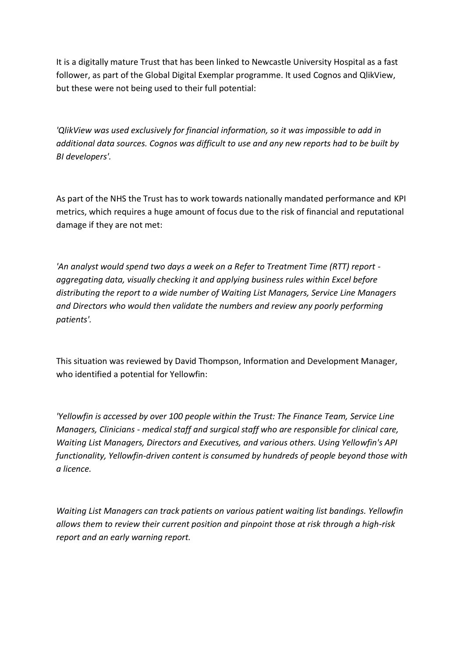It is a digitally mature Trust that has been linked to Newcastle University Hospital as a fast follower, as part of the Global Digital Exemplar programme. It used Cognos and QlikView, but these were not being used to their full potential:

*'QlikView was used exclusively for financial information, so it was impossible to add in additional data sources. Cognos was difficult to use and any new reports had to be built by BI developers'.*

As part of the NHS the Trust has to work towards nationally mandated performance and KPI metrics, which requires a huge amount of focus due to the risk of financial and reputational damage if they are not met:

*'An analyst would spend two days a week on a Refer to Treatment Time (RTT) report aggregating data, visually checking it and applying business rules within Excel before distributing the report to a wide number of Waiting List Managers, Service Line Managers and Directors who would then validate the numbers and review any poorly performing patients'.*

This situation was reviewed by David Thompson, Information and Development Manager, who identified a potential for Yellowfin:

*'Yellowfin is accessed by over 100 people within the Trust: The Finance Team, Service Line Managers, Clinicians - medical staff and surgical staff who are responsible for clinical care, Waiting List Managers, Directors and Executives, and various others. Using Yellowfin's API functionality, Yellowfin-driven content is consumed by hundreds of people beyond those with a licence.*

*Waiting List Managers can track patients on various patient waiting list bandings. Yellowfin allows them to review their current position and pinpoint those at risk through a high-risk report and an early warning report.*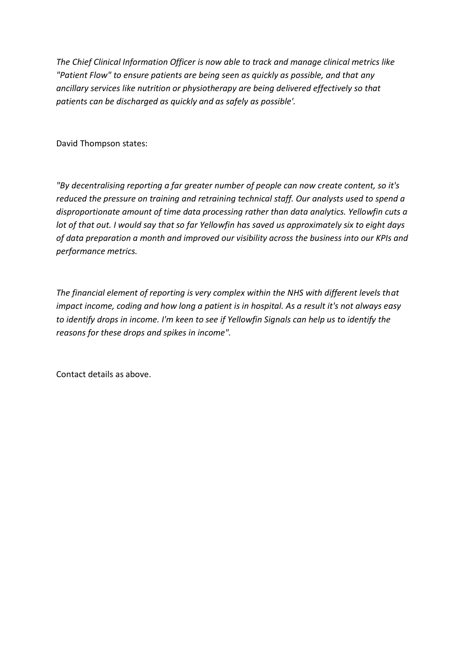*The Chief Clinical Information Officer is now able to track and manage clinical metrics like "Patient Flow" to ensure patients are being seen as quickly as possible, and that any ancillary services like nutrition or physiotherapy are being delivered effectively so that patients can be discharged as quickly and as safely as possible'.*

David Thompson states:

*"By decentralising reporting a far greater number of people can now create content, so it's reduced the pressure on training and retraining technical staff. Our analysts used to spend a disproportionate amount of time data processing rather than data analytics. Yellowfin cuts a lot of that out. I would say that so far Yellowfin has saved us approximately six to eight days of data preparation a month and improved our visibility across the business into our KPIs and performance metrics.*

*The financial element of reporting is very complex within the NHS with different levels that impact income, coding and how long a patient is in hospital. As a result it's not always easy to identify drops in income. I'm keen to see if Yellowfin Signals can help us to identify the reasons for these drops and spikes in income".* 

Contact details as above.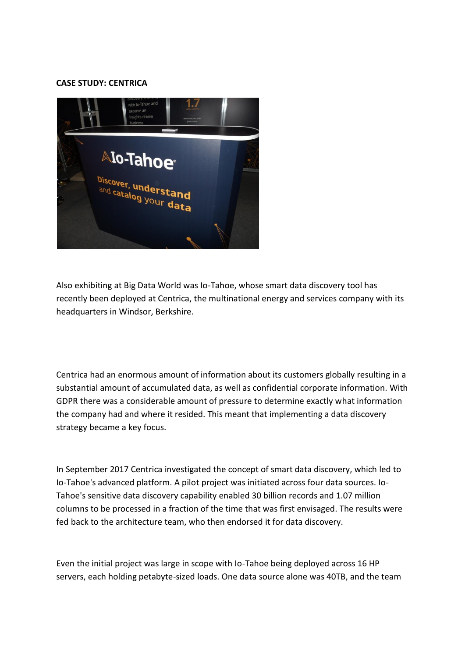#### **CASE STUDY: CENTRICA**



Also exhibiting at Big Data World was Io-Tahoe, whose smart data discovery tool has recently been deployed at Centrica, the multinational energy and services company with its headquarters in Windsor, Berkshire.

Centrica had an enormous amount of information about its customers globally resulting in a substantial amount of accumulated data, as well as confidential corporate information. With GDPR there was a considerable amount of pressure to determine exactly what information the company had and where it resided. This meant that implementing a data discovery strategy became a key focus.

In September 2017 Centrica investigated the concept of smart data discovery, which led to Io-Tahoe's advanced platform. A pilot project was initiated across four data sources. Io-Tahoe's sensitive data discovery capability enabled 30 billion records and 1.07 million columns to be processed in a fraction of the time that was first envisaged. The results were fed back to the architecture team, who then endorsed it for data discovery.

Even the initial project was large in scope with Io-Tahoe being deployed across 16 HP servers, each holding petabyte-sized loads. One data source alone was 40TB, and the team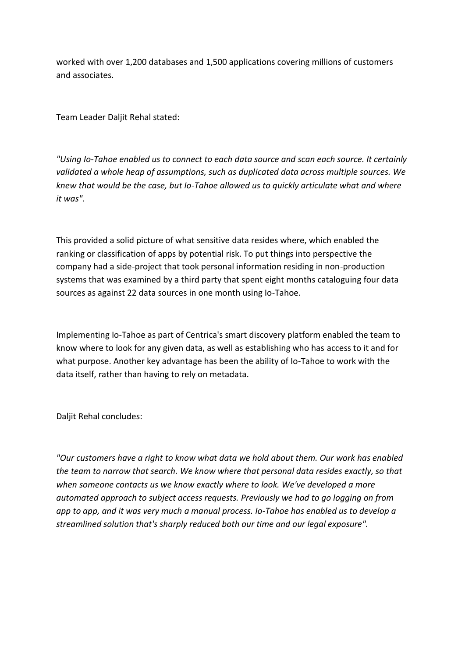worked with over 1,200 databases and 1,500 applications covering millions of customers and associates.

Team Leader Daljit Rehal stated:

*"Using Io-Tahoe enabled us to connect to each data source and scan each source. It certainly validated a whole heap of assumptions, such as duplicated data across multiple sources. We knew that would be the case, but Io-Tahoe allowed us to quickly articulate what and where it was".*

This provided a solid picture of what sensitive data resides where, which enabled the ranking or classification of apps by potential risk. To put things into perspective the company had a side-project that took personal information residing in non-production systems that was examined by a third party that spent eight months cataloguing four data sources as against 22 data sources in one month using Io-Tahoe.

Implementing Io-Tahoe as part of Centrica's smart discovery platform enabled the team to know where to look for any given data, as well as establishing who has access to it and for what purpose. Another key advantage has been the ability of Io-Tahoe to work with the data itself, rather than having to rely on metadata.

Daljit Rehal concludes:

*"Our customers have a right to know what data we hold about them. Our work has enabled the team to narrow that search. We know where that personal data resides exactly, so that when someone contacts us we know exactly where to look. We've developed a more automated approach to subject access requests. Previously we had to go logging on from app to app, and it was very much a manual process. Io-Tahoe has enabled us to develop a streamlined solution that's sharply reduced both our time and our legal exposure".*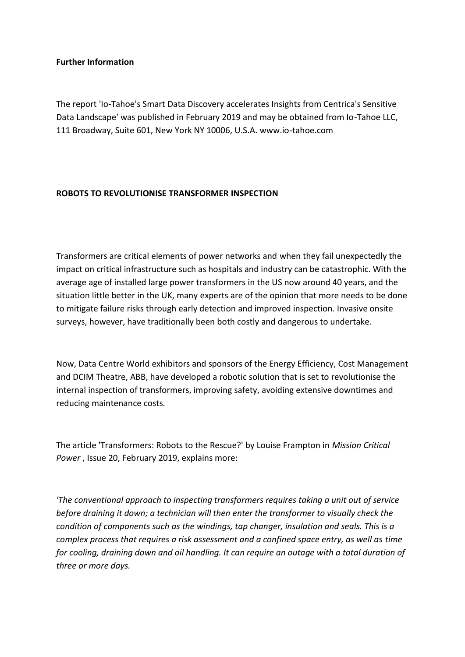### **Further Information**

The report 'Io-Tahoe's Smart Data Discovery accelerates Insights from Centrica's Sensitive Data Landscape' was published in February 2019 and may be obtained from Io-Tahoe LLC, 111 Broadway, Suite 601, New York NY 10006, U.S.A. www.io-tahoe.com

## **ROBOTS TO REVOLUTIONISE TRANSFORMER INSPECTION**

Transformers are critical elements of power networks and when they fail unexpectedly the impact on critical infrastructure such as hospitals and industry can be catastrophic. With the average age of installed large power transformers in the US now around 40 years, and the situation little better in the UK, many experts are of the opinion that more needs to be done to mitigate failure risks through early detection and improved inspection. Invasive onsite surveys, however, have traditionally been both costly and dangerous to undertake.

Now, Data Centre World exhibitors and sponsors of the Energy Efficiency, Cost Management and DCIM Theatre, ABB, have developed a robotic solution that is set to revolutionise the internal inspection of transformers, improving safety, avoiding extensive downtimes and reducing maintenance costs.

The article 'Transformers: Robots to the Rescue?' by Louise Frampton in *Mission Critical Power* , Issue 20, February 2019, explains more:

*'The conventional approach to inspecting transformers requires taking a unit out of service before draining it down; a technician will then enter the transformer to visually check the condition of components such as the windings, tap changer, insulation and seals. This is a complex process that requires a risk assessment and a confined space entry, as well as time for cooling, draining down and oil handling. It can require an outage with a total duration of three or more days.*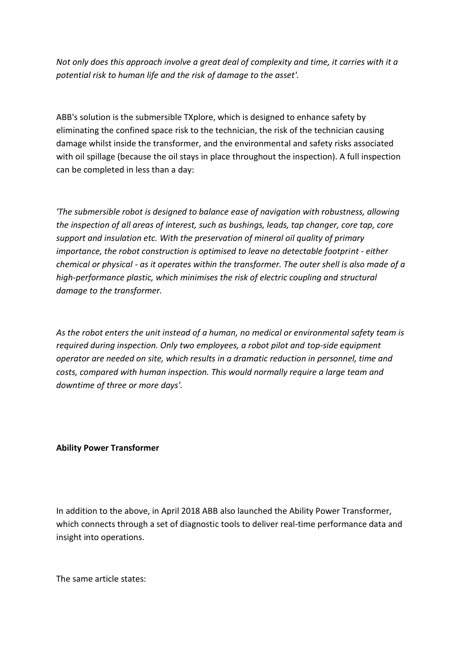*Not only does this approach involve a great deal of complexity and time, it carries with it a potential risk to human life and the risk of damage to the asset'.*

ABB's solution is the submersible TXplore, which is designed to enhance safety by eliminating the confined space risk to the technician, the risk of the technician causing damage whilst inside the transformer, and the environmental and safety risks associated with oil spillage (because the oil stays in place throughout the inspection). A full inspection can be completed in less than a day:

*'The submersible robot is designed to balance ease of navigation with robustness, allowing the inspection of all areas of interest, such as bushings, leads, tap changer, core tap, core support and insulation etc. With the preservation of mineral oil quality of primary importance, the robot construction is optimised to leave no detectable footprint - either chemical or physical - as it operates within the transformer. The outer shell is also made of a high-performance plastic, which minimises the risk of electric coupling and structural damage to the transformer.*

*As the robot enters the unit instead of a human, no medical or environmental safety team is required during inspection. Only two employees, a robot pilot and top-side equipment operator are needed on site, which results in a dramatic reduction in personnel, time and costs, compared with human inspection. This would normally require a large team and downtime of three or more days'.* 

#### **Ability Power Transformer**

In addition to the above, in April 2018 ABB also launched the Ability Power Transformer, which connects through a set of diagnostic tools to deliver real-time performance data and insight into operations.

The same article states: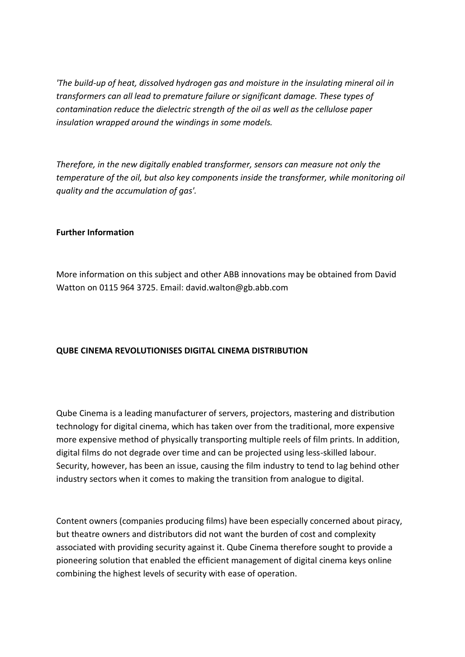*'The build-up of heat, dissolved hydrogen gas and moisture in the insulating mineral oil in transformers can all lead to premature failure or significant damage. These types of contamination reduce the dielectric strength of the oil as well as the cellulose paper insulation wrapped around the windings in some models.*

*Therefore, in the new digitally enabled transformer, sensors can measure not only the temperature of the oil, but also key components inside the transformer, while monitoring oil quality and the accumulation of gas'.*

#### **Further Information**

More information on this subject and other ABB innovations may be obtained from David Watton on 0115 964 3725. Email: david.walton@gb.abb.com

## **QUBE CINEMA REVOLUTIONISES DIGITAL CINEMA DISTRIBUTION**

Qube Cinema is a leading manufacturer of servers, projectors, mastering and distribution technology for digital cinema, which has taken over from the traditional, more expensive more expensive method of physically transporting multiple reels of film prints. In addition, digital films do not degrade over time and can be projected using less-skilled labour. Security, however, has been an issue, causing the film industry to tend to lag behind other industry sectors when it comes to making the transition from analogue to digital.

Content owners (companies producing films) have been especially concerned about piracy, but theatre owners and distributors did not want the burden of cost and complexity associated with providing security against it. Qube Cinema therefore sought to provide a pioneering solution that enabled the efficient management of digital cinema keys online combining the highest levels of security with ease of operation.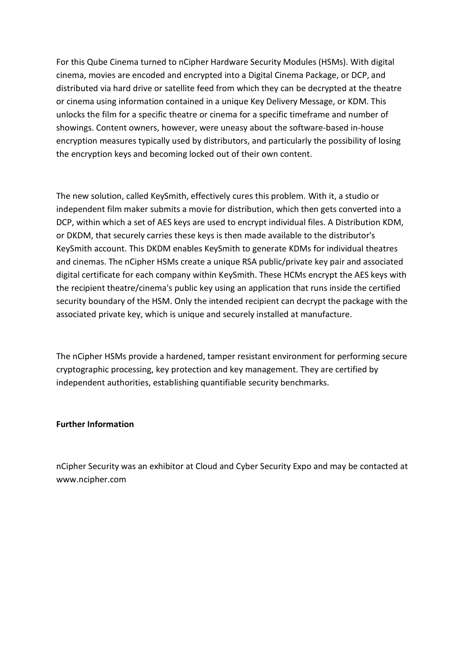For this Qube Cinema turned to nCipher Hardware Security Modules (HSMs). With digital cinema, movies are encoded and encrypted into a Digital Cinema Package, or DCP, and distributed via hard drive or satellite feed from which they can be decrypted at the theatre or cinema using information contained in a unique Key Delivery Message, or KDM. This unlocks the film for a specific theatre or cinema for a specific timeframe and number of showings. Content owners, however, were uneasy about the software-based in-house encryption measures typically used by distributors, and particularly the possibility of losing the encryption keys and becoming locked out of their own content.

The new solution, called KeySmith, effectively cures this problem. With it, a studio or independent film maker submits a movie for distribution, which then gets converted into a DCP, within which a set of AES keys are used to encrypt individual files. A Distribution KDM, or DKDM, that securely carries these keys is then made available to the distributor's KeySmith account. This DKDM enables KeySmith to generate KDMs for individual theatres and cinemas. The nCipher HSMs create a unique RSA public/private key pair and associated digital certificate for each company within KeySmith. These HCMs encrypt the AES keys with the recipient theatre/cinema's public key using an application that runs inside the certified security boundary of the HSM. Only the intended recipient can decrypt the package with the associated private key, which is unique and securely installed at manufacture.

The nCipher HSMs provide a hardened, tamper resistant environment for performing secure cryptographic processing, key protection and key management. They are certified by independent authorities, establishing quantifiable security benchmarks.

#### **Further Information**

nCipher Security was an exhibitor at Cloud and Cyber Security Expo and may be contacted at www.ncipher.com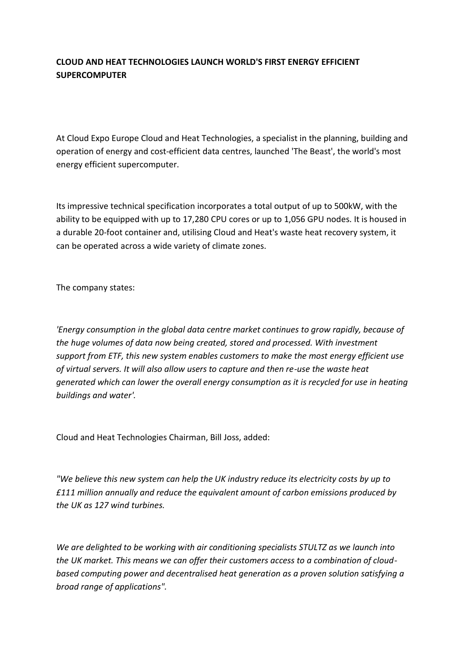# **CLOUD AND HEAT TECHNOLOGIES LAUNCH WORLD'S FIRST ENERGY EFFICIENT SUPERCOMPUTER**

At Cloud Expo Europe Cloud and Heat Technologies, a specialist in the planning, building and operation of energy and cost-efficient data centres, launched 'The Beast', the world's most energy efficient supercomputer.

Its impressive technical specification incorporates a total output of up to 500kW, with the ability to be equipped with up to 17,280 CPU cores or up to 1,056 GPU nodes. It is housed in a durable 20-foot container and, utilising Cloud and Heat's waste heat recovery system, it can be operated across a wide variety of climate zones.

The company states:

*'Energy consumption in the global data centre market continues to grow rapidly, because of the huge volumes of data now being created, stored and processed. With investment support from ETF, this new system enables customers to make the most energy efficient use of virtual servers. It will also allow users to capture and then re-use the waste heat generated which can lower the overall energy consumption as it is recycled for use in heating buildings and water'.*

Cloud and Heat Technologies Chairman, Bill Joss, added:

*"We believe this new system can help the UK industry reduce its electricity costs by up to £111 million annually and reduce the equivalent amount of carbon emissions produced by the UK as 127 wind turbines.*

*We are delighted to be working with air conditioning specialists STULTZ as we launch into the UK market. This means we can offer their customers access to a combination of cloudbased computing power and decentralised heat generation as a proven solution satisfying a broad range of applications".*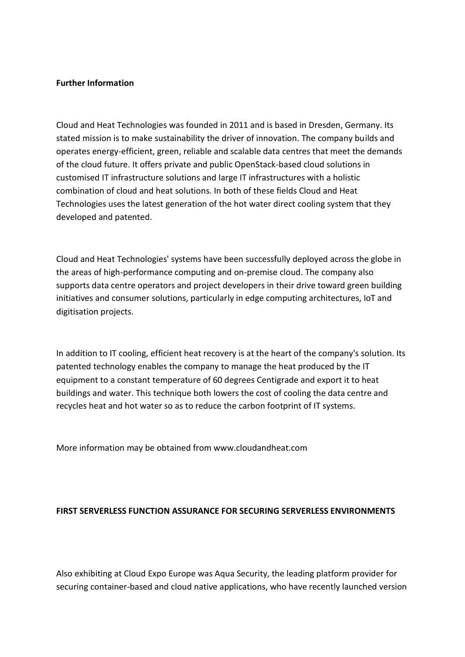#### **Further Information**

Cloud and Heat Technologies was founded in 2011 and is based in Dresden, Germany. Its stated mission is to make sustainability the driver of innovation. The company builds and operates energy-efficient, green, reliable and scalable data centres that meet the demands of the cloud future. It offers private and public OpenStack-based cloud solutions in customised IT infrastructure solutions and large IT infrastructures with a holistic combination of cloud and heat solutions. In both of these fields Cloud and Heat Technologies uses the latest generation of the hot water direct cooling system that they developed and patented.

Cloud and Heat Technologies' systems have been successfully deployed across the globe in the areas of high-performance computing and on-premise cloud. The company also supports data centre operators and project developers in their drive toward green building initiatives and consumer solutions, particularly in edge computing architectures, IoT and digitisation projects.

In addition to IT cooling, efficient heat recovery is at the heart of the company's solution. Its patented technology enables the company to manage the heat produced by the IT equipment to a constant temperature of 60 degrees Centigrade and export it to heat buildings and water. This technique both lowers the cost of cooling the data centre and recycles heat and hot water so as to reduce the carbon footprint of IT systems.

More information may be obtained from www.cloudandheat.com

#### **FIRST SERVERLESS FUNCTION ASSURANCE FOR SECURING SERVERLESS ENVIRONMENTS**

Also exhibiting at Cloud Expo Europe was Aqua Security, the leading platform provider for securing container-based and cloud native applications, who have recently launched version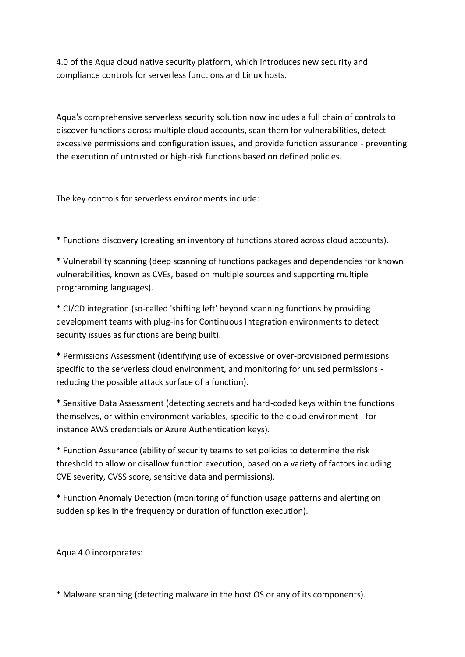4.0 of the Aqua cloud native security platform, which introduces new security and compliance controls for serverless functions and Linux hosts.

Aqua's comprehensive serverless security solution now includes a full chain of controls to discover functions across multiple cloud accounts, scan them for vulnerabilities, detect excessive permissions and configuration issues, and provide function assurance - preventing the execution of untrusted or high-risk functions based on defined policies.

The key controls for serverless environments include:

\* Functions discovery (creating an inventory of functions stored across cloud accounts).

\* Vulnerability scanning (deep scanning of functions packages and dependencies for known vulnerabilities, known as CVEs, based on multiple sources and supporting multiple programming languages).

\* CI/CD integration (so-called 'shifting left' beyond scanning functions by providing development teams with plug-ins for Continuous Integration environments to detect security issues as functions are being built).

\* Permissions Assessment (identifying use of excessive or over-provisioned permissions specific to the serverless cloud environment, and monitoring for unused permissions reducing the possible attack surface of a function).

\* Sensitive Data Assessment (detecting secrets and hard-coded keys within the functions themselves, or within environment variables, specific to the cloud environment - for instance AWS credentials or Azure Authentication keys).

\* Function Assurance (ability of security teams to set policies to determine the risk threshold to allow or disallow function execution, based on a variety of factors including CVE severity, CVSS score, sensitive data and permissions).

\* Function Anomaly Detection (monitoring of function usage patterns and alerting on sudden spikes in the frequency or duration of function execution).

Aqua 4.0 incorporates:

\* Malware scanning (detecting malware in the host OS or any of its components).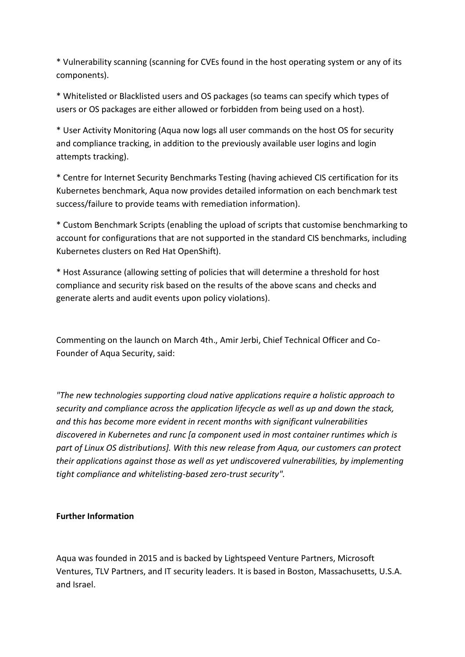\* Vulnerability scanning (scanning for CVEs found in the host operating system or any of its components).

\* Whitelisted or Blacklisted users and OS packages (so teams can specify which types of users or OS packages are either allowed or forbidden from being used on a host).

\* User Activity Monitoring (Aqua now logs all user commands on the host OS for security and compliance tracking, in addition to the previously available user logins and login attempts tracking).

\* Centre for Internet Security Benchmarks Testing (having achieved CIS certification for its Kubernetes benchmark, Aqua now provides detailed information on each benchmark test success/failure to provide teams with remediation information).

\* Custom Benchmark Scripts (enabling the upload of scripts that customise benchmarking to account for configurations that are not supported in the standard CIS benchmarks, including Kubernetes clusters on Red Hat OpenShift).

\* Host Assurance (allowing setting of policies that will determine a threshold for host compliance and security risk based on the results of the above scans and checks and generate alerts and audit events upon policy violations).

Commenting on the launch on March 4th., Amir Jerbi, Chief Technical Officer and Co-Founder of Aqua Security, said:

*"The new technologies supporting cloud native applications require a holistic approach to security and compliance across the application lifecycle as well as up and down the stack, and this has become more evident in recent months with significant vulnerabilities discovered in Kubernetes and runc [a component used in most container runtimes which is part of Linux OS distributions]. With this new release from Aqua, our customers can protect their applications against those as well as yet undiscovered vulnerabilities, by implementing tight compliance and whitelisting-based zero-trust security".*

## **Further Information**

Aqua was founded in 2015 and is backed by Lightspeed Venture Partners, Microsoft Ventures, TLV Partners, and IT security leaders. It is based in Boston, Massachusetts, U.S.A. and Israel.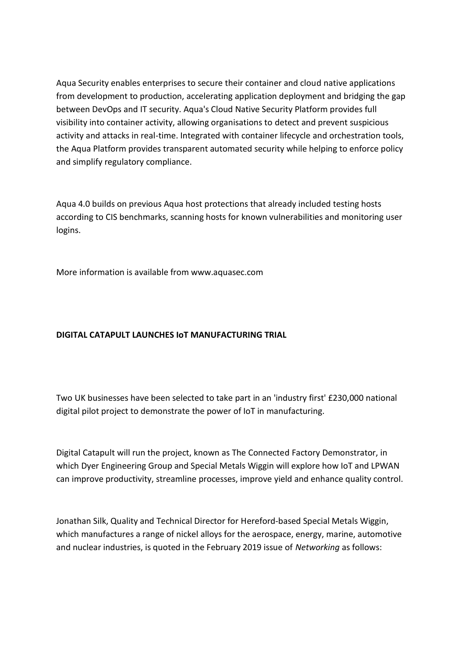Aqua Security enables enterprises to secure their container and cloud native applications from development to production, accelerating application deployment and bridging the gap between DevOps and IT security. Aqua's Cloud Native Security Platform provides full visibility into container activity, allowing organisations to detect and prevent suspicious activity and attacks in real-time. Integrated with container lifecycle and orchestration tools, the Aqua Platform provides transparent automated security while helping to enforce policy and simplify regulatory compliance.

Aqua 4.0 builds on previous Aqua host protections that already included testing hosts according to CIS benchmarks, scanning hosts for known vulnerabilities and monitoring user logins.

More information is available from www.aquasec.com

## **DIGITAL CATAPULT LAUNCHES IoT MANUFACTURING TRIAL**

Two UK businesses have been selected to take part in an 'industry first' £230,000 national digital pilot project to demonstrate the power of IoT in manufacturing.

Digital Catapult will run the project, known as The Connected Factory Demonstrator, in which Dyer Engineering Group and Special Metals Wiggin will explore how IoT and LPWAN can improve productivity, streamline processes, improve yield and enhance quality control.

Jonathan Silk, Quality and Technical Director for Hereford-based Special Metals Wiggin, which manufactures a range of nickel alloys for the aerospace, energy, marine, automotive and nuclear industries, is quoted in the February 2019 issue of *Networking* as follows: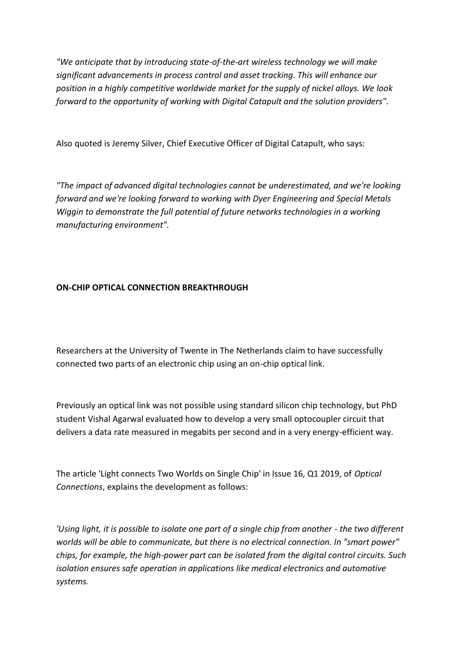*"We anticipate that by introducing state-of-the-art wireless technology we will make significant advancements in process control and asset tracking. This will enhance our position in a highly competitive worldwide market for the supply of nickel alloys. We look forward to the opportunity of working with Digital Catapult and the solution providers".*

Also quoted is Jeremy Silver, Chief Executive Officer of Digital Catapult, who says:

*"The impact of advanced digital technologies cannot be underestimated, and we're looking forward and we're looking forward to working with Dyer Engineering and Special Metals Wiggin to demonstrate the full potential of future networks technologies in a working manufacturing environment".*

# **ON-CHIP OPTICAL CONNECTION BREAKTHROUGH**

Researchers at the University of Twente in The Netherlands claim to have successfully connected two parts of an electronic chip using an on-chip optical link.

Previously an optical link was not possible using standard silicon chip technology, but PhD student Vishal Agarwal evaluated how to develop a very small optocoupler circuit that delivers a data rate measured in megabits per second and in a very energy-efficient way.

The article 'Light connects Two Worlds on Single Chip' in Issue 16, Q1 2019, of *Optical Connections*, explains the development as follows:

*'Using light, it is possible to isolate one part of a single chip from another - the two different worlds will be able to communicate, but there is no electrical connection. In "smart power" chips, for example, the high-power part can be isolated from the digital control circuits. Such isolation ensures safe operation in applications like medical electronics and automotive systems.*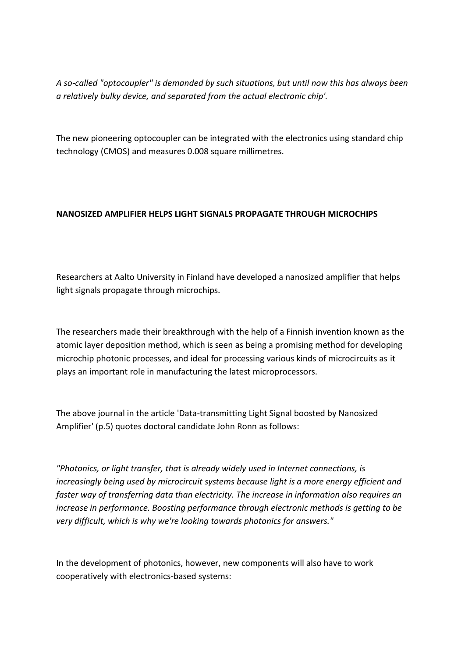*A so-called "optocoupler" is demanded by such situations, but until now this has always been a relatively bulky device, and separated from the actual electronic chip'.*

The new pioneering optocoupler can be integrated with the electronics using standard chip technology (CMOS) and measures 0.008 square millimetres.

# **NANOSIZED AMPLIFIER HELPS LIGHT SIGNALS PROPAGATE THROUGH MICROCHIPS**

Researchers at Aalto University in Finland have developed a nanosized amplifier that helps light signals propagate through microchips.

The researchers made their breakthrough with the help of a Finnish invention known as the atomic layer deposition method, which is seen as being a promising method for developing microchip photonic processes, and ideal for processing various kinds of microcircuits as it plays an important role in manufacturing the latest microprocessors.

The above journal in the article 'Data-transmitting Light Signal boosted by Nanosized Amplifier' (p.5) quotes doctoral candidate John Ronn as follows:

*"Photonics, or light transfer, that is already widely used in Internet connections, is increasingly being used by microcircuit systems because light is a more energy efficient and faster way of transferring data than electricity. The increase in information also requires an increase in performance. Boosting performance through electronic methods is getting to be very difficult, which is why we're looking towards photonics for answers."*

In the development of photonics, however, new components will also have to work cooperatively with electronics-based systems: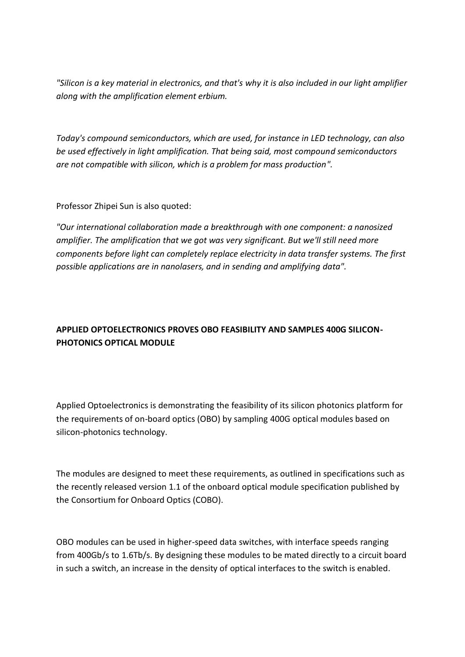*"Silicon is a key material in electronics, and that's why it is also included in our light amplifier along with the amplification element erbium.*

*Today's compound semiconductors, which are used, for instance in LED technology, can also be used effectively in light amplification. That being said, most compound semiconductors are not compatible with silicon, which is a problem for mass production".*

Professor Zhipei Sun is also quoted:

*"Our international collaboration made a breakthrough with one component: a nanosized amplifier. The amplification that we got was very significant. But we'll still need more components before light can completely replace electricity in data transfer systems. The first possible applications are in nanolasers, and in sending and amplifying data".*

# **APPLIED OPTOELECTRONICS PROVES OBO FEASIBILITY AND SAMPLES 400G SILICON-PHOTONICS OPTICAL MODULE**

Applied Optoelectronics is demonstrating the feasibility of its silicon photonics platform for the requirements of on-board optics (OBO) by sampling 400G optical modules based on silicon-photonics technology.

The modules are designed to meet these requirements, as outlined in specifications such as the recently released version 1.1 of the onboard optical module specification published by the Consortium for Onboard Optics (COBO).

OBO modules can be used in higher-speed data switches, with interface speeds ranging from 400Gb/s to 1.6Tb/s. By designing these modules to be mated directly to a circuit board in such a switch, an increase in the density of optical interfaces to the switch is enabled.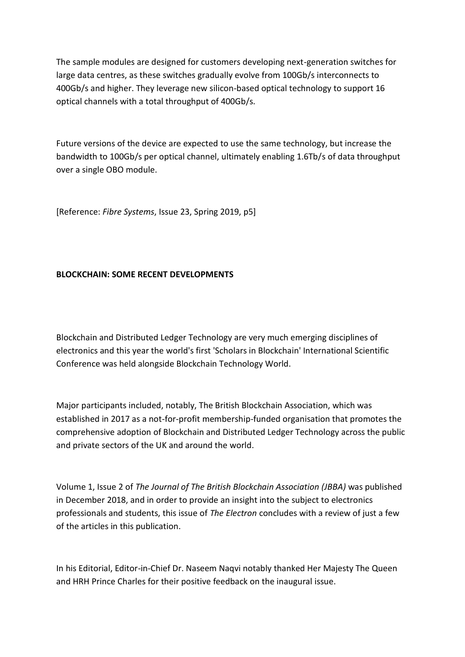The sample modules are designed for customers developing next-generation switches for large data centres, as these switches gradually evolve from 100Gb/s interconnects to 400Gb/s and higher. They leverage new silicon-based optical technology to support 16 optical channels with a total throughput of 400Gb/s.

Future versions of the device are expected to use the same technology, but increase the bandwidth to 100Gb/s per optical channel, ultimately enabling 1.6Tb/s of data throughput over a single OBO module.

[Reference: *Fibre Systems*, Issue 23, Spring 2019, p5]

## **BLOCKCHAIN: SOME RECENT DEVELOPMENTS**

Blockchain and Distributed Ledger Technology are very much emerging disciplines of electronics and this year the world's first 'Scholars in Blockchain' International Scientific Conference was held alongside Blockchain Technology World.

Major participants included, notably, The British Blockchain Association, which was established in 2017 as a not-for-profit membership-funded organisation that promotes the comprehensive adoption of Blockchain and Distributed Ledger Technology across the public and private sectors of the UK and around the world.

Volume 1, Issue 2 of *The Journal of The British Blockchain Association (JBBA)* was published in December 2018, and in order to provide an insight into the subject to electronics professionals and students, this issue of *The Electron* concludes with a review of just a few of the articles in this publication.

In his Editorial, Editor-in-Chief Dr. Naseem Naqvi notably thanked Her Majesty The Queen and HRH Prince Charles for their positive feedback on the inaugural issue.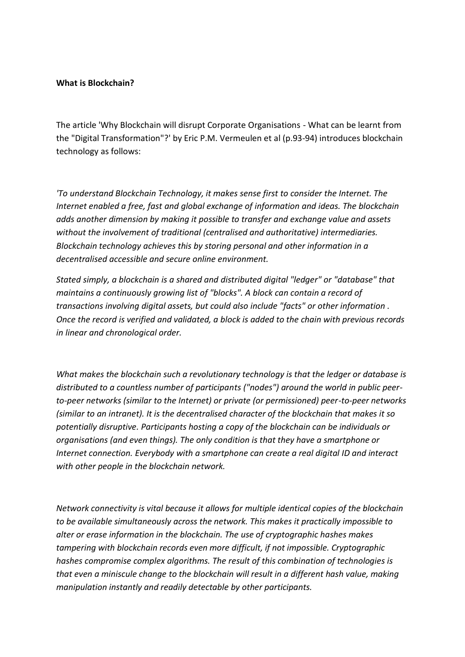#### **What is Blockchain?**

The article 'Why Blockchain will disrupt Corporate Organisations - What can be learnt from the "Digital Transformation"?' by Eric P.M. Vermeulen et al (p.93-94) introduces blockchain technology as follows:

*'To understand Blockchain Technology, it makes sense first to consider the Internet. The Internet enabled a free, fast and global exchange of information and ideas. The blockchain adds another dimension by making it possible to transfer and exchange value and assets without the involvement of traditional (centralised and authoritative) intermediaries. Blockchain technology achieves this by storing personal and other information in a decentralised accessible and secure online environment.*

*Stated simply, a blockchain is a shared and distributed digital "ledger" or "database" that maintains a continuously growing list of "blocks". A block can contain a record of transactions involving digital assets, but could also include "facts" or other information . Once the record is verified and validated, a block is added to the chain with previous records in linear and chronological order.* 

*What makes the blockchain such a revolutionary technology is that the ledger or database is distributed to a countless number of participants ("nodes") around the world in public peerto-peer networks (similar to the Internet) or private (or permissioned) peer-to-peer networks (similar to an intranet). It is the decentralised character of the blockchain that makes it so potentially disruptive. Participants hosting a copy of the blockchain can be individuals or organisations (and even things). The only condition is that they have a smartphone or Internet connection. Everybody with a smartphone can create a real digital ID and interact with other people in the blockchain network.*

*Network connectivity is vital because it allows for multiple identical copies of the blockchain to be available simultaneously across the network. This makes it practically impossible to alter or erase information in the blockchain. The use of cryptographic hashes makes tampering with blockchain records even more difficult, if not impossible. Cryptographic hashes compromise complex algorithms. The result of this combination of technologies is that even a miniscule change to the blockchain will result in a different hash value, making manipulation instantly and readily detectable by other participants.*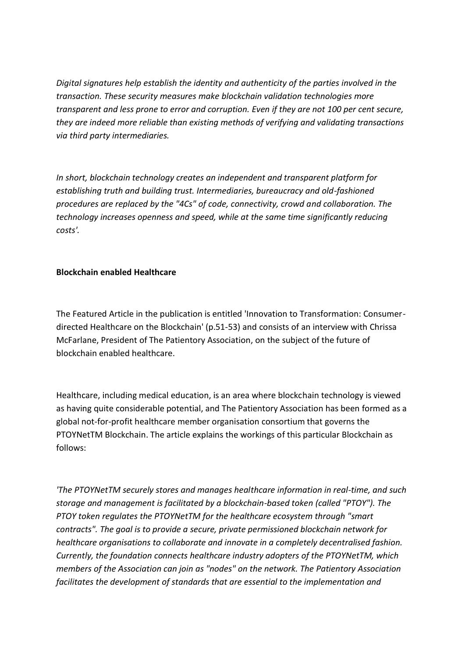*Digital signatures help establish the identity and authenticity of the parties involved in the transaction. These security measures make blockchain validation technologies more transparent and less prone to error and corruption. Even if they are not 100 per cent secure, they are indeed more reliable than existing methods of verifying and validating transactions via third party intermediaries.*

*In short, blockchain technology creates an independent and transparent platform for establishing truth and building trust. Intermediaries, bureaucracy and old-fashioned procedures are replaced by the "4Cs" of code, connectivity, crowd and collaboration. The technology increases openness and speed, while at the same time significantly reducing costs'.*

## **Blockchain enabled Healthcare**

The Featured Article in the publication is entitled 'Innovation to Transformation: Consumerdirected Healthcare on the Blockchain' (p.51-53) and consists of an interview with Chrissa McFarlane, President of The Patientory Association, on the subject of the future of blockchain enabled healthcare.

Healthcare, including medical education, is an area where blockchain technology is viewed as having quite considerable potential, and The Patientory Association has been formed as a global not-for-profit healthcare member organisation consortium that governs the PTOYNetTM Blockchain. The article explains the workings of this particular Blockchain as follows:

*'The PTOYNetTM securely stores and manages healthcare information in real-time, and such storage and management is facilitated by a blockchain-based token (called "PTOY"). The PTOY token regulates the PTOYNetTM for the healthcare ecosystem through "smart contracts". The goal is to provide a secure, private permissioned blockchain network for healthcare organisations to collaborate and innovate in a completely decentralised fashion. Currently, the foundation connects healthcare industry adopters of the PTOYNetTM, which members of the Association can join as "nodes" on the network. The Patientory Association facilitates the development of standards that are essential to the implementation and*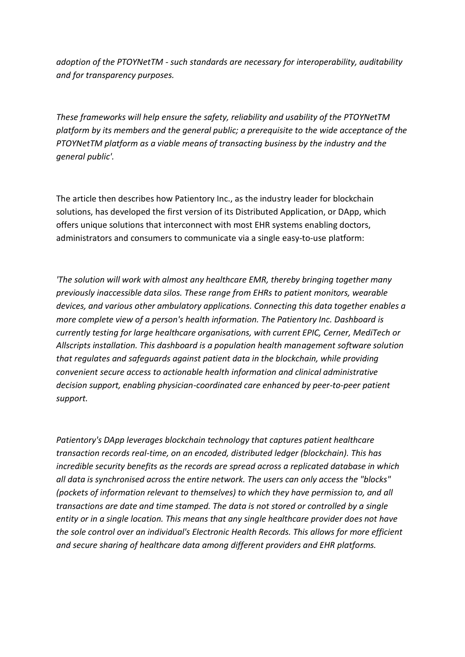*adoption of the PTOYNetTM - such standards are necessary for interoperability, auditability and for transparency purposes.*

*These frameworks will help ensure the safety, reliability and usability of the PTOYNetTM platform by its members and the general public; a prerequisite to the wide acceptance of the PTOYNetTM platform as a viable means of transacting business by the industry and the general public'.*

The article then describes how Patientory Inc., as the industry leader for blockchain solutions, has developed the first version of its Distributed Application, or DApp, which offers unique solutions that interconnect with most EHR systems enabling doctors, administrators and consumers to communicate via a single easy-to-use platform:

*'The solution will work with almost any healthcare EMR, thereby bringing together many previously inaccessible data silos. These range from EHRs to patient monitors, wearable devices, and various other ambulatory applications. Connecting this data together enables a more complete view of a person's health information. The Patientory Inc. Dashboard is currently testing for large healthcare organisations, with current EPIC, Cerner, MediTech or Allscripts installation. This dashboard is a population health management software solution that regulates and safeguards against patient data in the blockchain, while providing convenient secure access to actionable health information and clinical administrative decision support, enabling physician-coordinated care enhanced by peer-to-peer patient support.*

*Patientory's DApp leverages blockchain technology that captures patient healthcare transaction records real-time, on an encoded, distributed ledger (blockchain). This has incredible security benefits as the records are spread across a replicated database in which all data is synchronised across the entire network. The users can only access the "blocks" (pockets of information relevant to themselves) to which they have permission to, and all transactions are date and time stamped. The data is not stored or controlled by a single entity or in a single location. This means that any single healthcare provider does not have the sole control over an individual's Electronic Health Records. This allows for more efficient and secure sharing of healthcare data among different providers and EHR platforms.*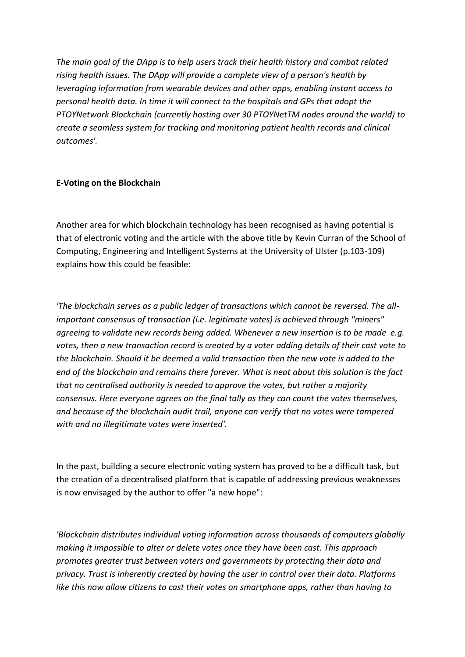*The main goal of the DApp is to help users track their health history and combat related rising health issues. The DApp will provide a complete view of a person's health by leveraging information from wearable devices and other apps, enabling instant access to personal health data. In time it will connect to the hospitals and GPs that adopt the PTOYNetwork Blockchain (currently hosting over 30 PTOYNetTM nodes around the world) to create a seamless system for tracking and monitoring patient health records and clinical outcomes'.*

## **E-Voting on the Blockchain**

Another area for which blockchain technology has been recognised as having potential is that of electronic voting and the article with the above title by Kevin Curran of the School of Computing, Engineering and Intelligent Systems at the University of Ulster (p.103-109) explains how this could be feasible:

*'The blockchain serves as a public ledger of transactions which cannot be reversed. The allimportant consensus of transaction (i.e. legitimate votes) is achieved through "miners" agreeing to validate new records being added. Whenever a new insertion is to be made e.g. votes, then a new transaction record is created by a voter adding details of their cast vote to the blockchain. Should it be deemed a valid transaction then the new vote is added to the end of the blockchain and remains there forever. What is neat about this solution is the fact that no centralised authority is needed to approve the votes, but rather a majority consensus. Here everyone agrees on the final tally as they can count the votes themselves, and because of the blockchain audit trail, anyone can verify that no votes were tampered with and no illegitimate votes were inserted'.*

In the past, building a secure electronic voting system has proved to be a difficult task, but the creation of a decentralised platform that is capable of addressing previous weaknesses is now envisaged by the author to offer "a new hope":

*'Blockchain distributes individual voting information across thousands of computers globally making it impossible to alter or delete votes once they have been cast. This approach promotes greater trust between voters and governments by protecting their data and privacy. Trust is inherently created by having the user in control over their data. Platforms like this now allow citizens to cast their votes on smartphone apps, rather than having to*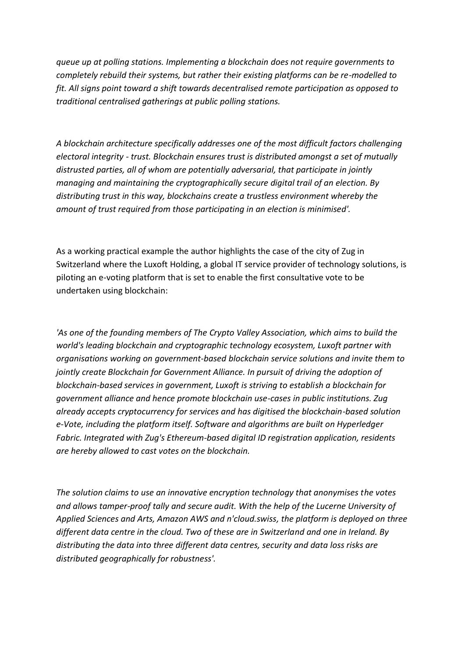*queue up at polling stations. Implementing a blockchain does not require governments to completely rebuild their systems, but rather their existing platforms can be re-modelled to fit. All signs point toward a shift towards decentralised remote participation as opposed to traditional centralised gatherings at public polling stations.*

*A blockchain architecture specifically addresses one of the most difficult factors challenging electoral integrity - trust. Blockchain ensures trust is distributed amongst a set of mutually distrusted parties, all of whom are potentially adversarial, that participate in jointly managing and maintaining the cryptographically secure digital trail of an election. By distributing trust in this way, blockchains create a trustless environment whereby the amount of trust required from those participating in an election is minimised'.*

As a working practical example the author highlights the case of the city of Zug in Switzerland where the Luxoft Holding, a global IT service provider of technology solutions, is piloting an e-voting platform that is set to enable the first consultative vote to be undertaken using blockchain:

*'As one of the founding members of The Crypto Valley Association, which aims to build the world's leading blockchain and cryptographic technology ecosystem, Luxoft partner with organisations working on government-based blockchain service solutions and invite them to jointly create Blockchain for Government Alliance. In pursuit of driving the adoption of blockchain-based services in government, Luxoft is striving to establish a blockchain for government alliance and hence promote blockchain use-cases in public institutions. Zug already accepts cryptocurrency for services and has digitised the blockchain-based solution e-Vote, including the platform itself. Software and algorithms are built on Hyperledger Fabric. Integrated with Zug's Ethereum-based digital ID registration application, residents are hereby allowed to cast votes on the blockchain.*

*The solution claims to use an innovative encryption technology that anonymises the votes and allows tamper-proof tally and secure audit. With the help of the Lucerne University of Applied Sciences and Arts, Amazon AWS and n'cloud.swiss, the platform is deployed on three different data centre in the cloud. Two of these are in Switzerland and one in Ireland. By distributing the data into three different data centres, security and data loss risks are distributed geographically for robustness'.*